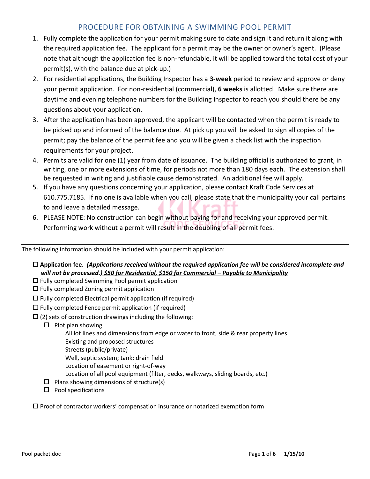# PROCEDURE FOR OBTAINING A SWIMMING POOL PERMIT

- 1. Fully complete the application for your permit making sure to date and sign it and return it along with the required application fee. The applicant for a permit may be the owner or owner's agent. (Please note that although the application fee is non-refundable, it will be applied toward the total cost of your permit(s), with the balance due at pick-up.)
- 2. For residential applications, the Building Inspector has a **3-week** period to review and approve or deny your permit application. For non-residential (commercial), **6 weeks** is allotted. Make sure there are daytime and evening telephone numbers for the Building Inspector to reach you should there be any questions about your application.
- 3. After the application has been approved, the applicant will be contacted when the permit is ready to be picked up and informed of the balance due. At pick up you will be asked to sign all copies of the permit; pay the balance of the permit fee and you will be given a check list with the inspection requirements for your project.
- 4. Permits are valid for one (1) year from date of issuance. The building official is authorized to grant, in writing, one or more extensions of time, for periods not more than 180 days each. The extension shall be requested in writing and justifiable cause demonstrated. An additional fee will apply.
- 5. If you have any questions concerning your application, please contact Kraft Code Services at 610.775.7185. If no one is available when you call, please state that the municipality your call pertains to and leave a detailed message.
- 6. PLEASE NOTE: No construction can begin without paying for and receiving your approved permit. Performing work without a permit will result in the doubling of all permit fees.

The following information should be included with your permit application:

- **Application fee.** *(Applications received without the required application fee will be considered incomplete and will not be processed.) \$50 for Residential, \$150 for Commercial – Payable to Municipality*
- $\Box$  Fully completed Swimming Pool permit application
- $\Box$  Fully completed Zoning permit application
- $\square$  Fully completed Electrical permit application (if required)
- $\Box$  Fully completed Fence permit application (if required)
- $\Box$  (2) sets of construction drawings including the following:
	- $\Box$  Plot plan showing
		- All lot lines and dimensions from edge or water to front, side & rear property lines Existing and proposed structures
		- Streets (public/private)
		- Well, septic system; tank; drain field
		- Location of easement or right-of-way
		- Location of all pool equipment (filter, decks, walkways, sliding boards, etc.)
	- $\Box$  Plans showing dimensions of structure(s)
	- $\square$  Pool specifications

 $\square$  Proof of contractor workers' compensation insurance or notarized exemption form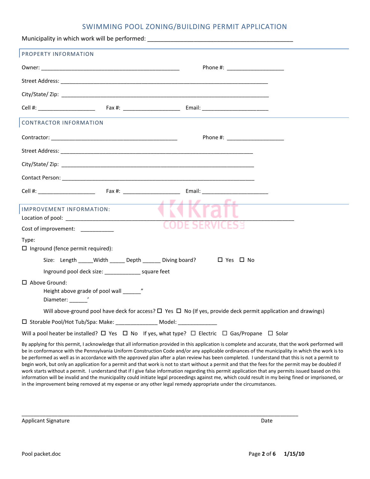### SWIMMING POOL ZONING/BUILDING PERMIT APPLICATION

| Municipality in which work will be performed: ___________________________________                                                                                                                                                                                                                                                                                                                                                                                                                                                                                                                                                                                                                                                                                    |
|----------------------------------------------------------------------------------------------------------------------------------------------------------------------------------------------------------------------------------------------------------------------------------------------------------------------------------------------------------------------------------------------------------------------------------------------------------------------------------------------------------------------------------------------------------------------------------------------------------------------------------------------------------------------------------------------------------------------------------------------------------------------|
| PROPERTY INFORMATION                                                                                                                                                                                                                                                                                                                                                                                                                                                                                                                                                                                                                                                                                                                                                 |
| Phone #: ______________________                                                                                                                                                                                                                                                                                                                                                                                                                                                                                                                                                                                                                                                                                                                                      |
|                                                                                                                                                                                                                                                                                                                                                                                                                                                                                                                                                                                                                                                                                                                                                                      |
|                                                                                                                                                                                                                                                                                                                                                                                                                                                                                                                                                                                                                                                                                                                                                                      |
|                                                                                                                                                                                                                                                                                                                                                                                                                                                                                                                                                                                                                                                                                                                                                                      |
| CONTRACTOR INFORMATION                                                                                                                                                                                                                                                                                                                                                                                                                                                                                                                                                                                                                                                                                                                                               |
| Phone #: ______________________                                                                                                                                                                                                                                                                                                                                                                                                                                                                                                                                                                                                                                                                                                                                      |
|                                                                                                                                                                                                                                                                                                                                                                                                                                                                                                                                                                                                                                                                                                                                                                      |
|                                                                                                                                                                                                                                                                                                                                                                                                                                                                                                                                                                                                                                                                                                                                                                      |
|                                                                                                                                                                                                                                                                                                                                                                                                                                                                                                                                                                                                                                                                                                                                                                      |
|                                                                                                                                                                                                                                                                                                                                                                                                                                                                                                                                                                                                                                                                                                                                                                      |
| the control of the control of the control of the control of the control of the control of<br><u> 1989 - Johann Barbara, martxa a</u><br>IMPROVEMENT INFORMATION:<br>Cost of improvement: __________<br>Type:                                                                                                                                                                                                                                                                                                                                                                                                                                                                                                                                                         |
| $\Box$ Inground (fence permit required):                                                                                                                                                                                                                                                                                                                                                                                                                                                                                                                                                                                                                                                                                                                             |
| Size: Length _____Width ______ Depth _______ Diving board?     口 Yes 口 No                                                                                                                                                                                                                                                                                                                                                                                                                                                                                                                                                                                                                                                                                            |
| Inground pool deck size: ________________ square feet<br>□ Above Ground:<br>Diameter: views                                                                                                                                                                                                                                                                                                                                                                                                                                                                                                                                                                                                                                                                          |
| Will above-ground pool have deck for access? $\Box$ Yes $\Box$ No (If yes, provide deck permit application and drawings)                                                                                                                                                                                                                                                                                                                                                                                                                                                                                                                                                                                                                                             |
| □ Storable Pool/Hot Tub/Spa: Make: _________________ Model: _______________                                                                                                                                                                                                                                                                                                                                                                                                                                                                                                                                                                                                                                                                                          |
| Will a pool heater be installed? $\Box$ Yes $\Box$ No If yes, what type? $\Box$ Electric $\Box$ Gas/Propane $\Box$ Solar                                                                                                                                                                                                                                                                                                                                                                                                                                                                                                                                                                                                                                             |
| By applying for this permit, I acknowledge that all information provided in this application is complete and accurate, that the work performed will<br>be in conformance with the Pennsylvania Uniform Construction Code and/or any applicable ordinances of the municipality in which the work is to<br>be performed as well as in accordance with the approved plan after a plan review has been completed. I understand that this is not a permit to<br>begin work, but only an application for a permit and that work is not to start without a permit and that the fees for the permit may be doubled if<br>work starts without a permit. I understand that if I give false information regarding this permit application that any permits issued based on this |

work starts without a permit. I understand that if I give false information regarding this permit application that any permits issued based on this information will be invalid and the municipality could initiate legal proceedings against me, which could result in my being fined or imprisoned, or in the improvement being removed at my expense or any other legal remedy appropriate under the circumstances.

\_\_\_\_\_\_\_\_\_\_\_\_\_\_\_\_\_\_\_\_\_\_\_\_\_\_\_\_\_\_\_\_\_\_\_\_\_\_\_\_\_\_\_\_\_\_\_\_\_\_\_\_\_\_\_\_\_\_\_\_\_\_\_\_\_\_\_\_\_\_\_\_\_\_\_\_\_\_\_\_\_\_\_\_\_\_\_\_\_\_\_\_

Applicant Signature Date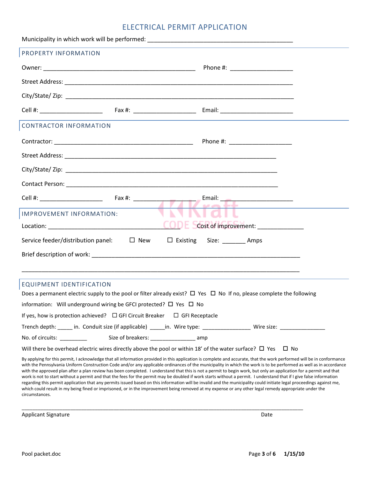# ELECTRICAL PERMIT APPLICATION

| PROPERTY INFORMATION                                                                                                                                                                                                                                                                                                                                                                                                                                                                                                                                                                                                                                                                                                                                                                                                                                               |                                    |
|--------------------------------------------------------------------------------------------------------------------------------------------------------------------------------------------------------------------------------------------------------------------------------------------------------------------------------------------------------------------------------------------------------------------------------------------------------------------------------------------------------------------------------------------------------------------------------------------------------------------------------------------------------------------------------------------------------------------------------------------------------------------------------------------------------------------------------------------------------------------|------------------------------------|
|                                                                                                                                                                                                                                                                                                                                                                                                                                                                                                                                                                                                                                                                                                                                                                                                                                                                    |                                    |
|                                                                                                                                                                                                                                                                                                                                                                                                                                                                                                                                                                                                                                                                                                                                                                                                                                                                    |                                    |
|                                                                                                                                                                                                                                                                                                                                                                                                                                                                                                                                                                                                                                                                                                                                                                                                                                                                    |                                    |
|                                                                                                                                                                                                                                                                                                                                                                                                                                                                                                                                                                                                                                                                                                                                                                                                                                                                    |                                    |
| <b>CONTRACTOR INFORMATION</b>                                                                                                                                                                                                                                                                                                                                                                                                                                                                                                                                                                                                                                                                                                                                                                                                                                      |                                    |
|                                                                                                                                                                                                                                                                                                                                                                                                                                                                                                                                                                                                                                                                                                                                                                                                                                                                    | Phone #: ______________________    |
|                                                                                                                                                                                                                                                                                                                                                                                                                                                                                                                                                                                                                                                                                                                                                                                                                                                                    |                                    |
|                                                                                                                                                                                                                                                                                                                                                                                                                                                                                                                                                                                                                                                                                                                                                                                                                                                                    |                                    |
|                                                                                                                                                                                                                                                                                                                                                                                                                                                                                                                                                                                                                                                                                                                                                                                                                                                                    |                                    |
|                                                                                                                                                                                                                                                                                                                                                                                                                                                                                                                                                                                                                                                                                                                                                                                                                                                                    | Email: ___________________________ |
| IMPROVEMENT INFORMATION:                                                                                                                                                                                                                                                                                                                                                                                                                                                                                                                                                                                                                                                                                                                                                                                                                                           |                                    |
|                                                                                                                                                                                                                                                                                                                                                                                                                                                                                                                                                                                                                                                                                                                                                                                                                                                                    |                                    |
| Service feeder/distribution panel: $\Box$ New $\Box$ Existing                                                                                                                                                                                                                                                                                                                                                                                                                                                                                                                                                                                                                                                                                                                                                                                                      | Size: Amps                         |
| Brief description of work: with a state of the state of the state of the state of the state of the state of the                                                                                                                                                                                                                                                                                                                                                                                                                                                                                                                                                                                                                                                                                                                                                    |                                    |
|                                                                                                                                                                                                                                                                                                                                                                                                                                                                                                                                                                                                                                                                                                                                                                                                                                                                    |                                    |
| EQUIPMENT IDENTIFICATION                                                                                                                                                                                                                                                                                                                                                                                                                                                                                                                                                                                                                                                                                                                                                                                                                                           |                                    |
| Does a permanent electric supply to the pool or filter already exist? $\Box$ Yes $\Box$ No If no, please complete the following                                                                                                                                                                                                                                                                                                                                                                                                                                                                                                                                                                                                                                                                                                                                    |                                    |
| information: Will underground wiring be GFCI protected? □ Yes □ No                                                                                                                                                                                                                                                                                                                                                                                                                                                                                                                                                                                                                                                                                                                                                                                                 |                                    |
| If yes, how is protection achieved? $\Box$ GFI Circuit Breaker $\Box$ GFI Receptacle                                                                                                                                                                                                                                                                                                                                                                                                                                                                                                                                                                                                                                                                                                                                                                               |                                    |
|                                                                                                                                                                                                                                                                                                                                                                                                                                                                                                                                                                                                                                                                                                                                                                                                                                                                    |                                    |
| No. of circuits: __________                                                                                                                                                                                                                                                                                                                                                                                                                                                                                                                                                                                                                                                                                                                                                                                                                                        |                                    |
| Will there be overhead electric wires directly above the pool or within 18' of the water surface? $\square$ Yes $\square$ No                                                                                                                                                                                                                                                                                                                                                                                                                                                                                                                                                                                                                                                                                                                                       |                                    |
| By applying for this permit, I acknowledge that all information provided in this application is complete and accurate, that the work performed will be in conformance<br>with the Pennsylvania Uniform Construction Code and/or any applicable ordinances of the municipality in which the work is to be performed as well as in accordance<br>with the approved plan after a plan review has been completed. I understand that this is not a permit to begin work, but only an application for a permit and that<br>work is not to start without a permit and that the fees for the permit may be doubled if work starts without a permit. I understand that if I give false information<br>regarding this permit application that any permits issued based on this information will be invalid and the municipality could initiate legal proceedings against me, |                                    |

which could result in my being fined or imprisoned, or in the improvement being removed at my expense or any other legal remedy appropriate under the

\_\_\_\_\_\_\_\_\_\_\_\_\_\_\_\_\_\_\_\_\_\_\_\_\_\_\_\_\_\_\_\_\_\_\_\_\_\_\_\_\_\_\_\_\_\_\_\_\_\_\_\_\_\_\_\_\_\_\_\_\_\_\_\_\_\_\_\_\_\_\_\_\_\_\_\_\_\_\_\_\_\_\_\_\_\_\_\_\_\_\_\_\_\_\_\_\_\_\_\_\_\_\_\_

Applicant Signature Date

circumstances.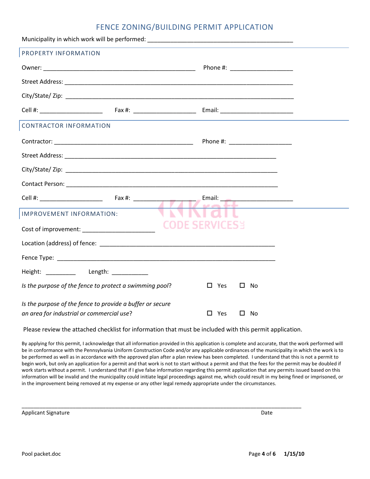## FENCE ZONING/BUILDING PERMIT APPLICATION

| PROPERTY INFORMATION                                      |                                                                                                                     |  |
|-----------------------------------------------------------|---------------------------------------------------------------------------------------------------------------------|--|
|                                                           |                                                                                                                     |  |
|                                                           |                                                                                                                     |  |
|                                                           |                                                                                                                     |  |
|                                                           |                                                                                                                     |  |
| CONTRACTOR INFORMATION                                    |                                                                                                                     |  |
|                                                           |                                                                                                                     |  |
|                                                           |                                                                                                                     |  |
|                                                           |                                                                                                                     |  |
|                                                           |                                                                                                                     |  |
|                                                           | Email: __________________________<br>and the company of the company of the company of the company of the company of |  |
| IMPROVEMENT INFORMATION:                                  |                                                                                                                     |  |
|                                                           | <b>CODE SERVICESS</b>                                                                                               |  |
|                                                           |                                                                                                                     |  |
|                                                           |                                                                                                                     |  |
| Height: __________ Length: __________                     |                                                                                                                     |  |
| Is the purpose of the fence to protect a swimming pool?   | $\square$ Yes<br>$\square$ No                                                                                       |  |
| Is the purpose of the fence to provide a buffer or secure |                                                                                                                     |  |
| an area for industrial or commercial use?                 | $\square$ Yes<br>$\square$ No                                                                                       |  |

Please review the attached checklist for information that must be included with this permit application.

\_\_\_\_\_\_\_\_\_\_\_\_\_\_\_\_\_\_\_\_\_\_\_\_\_\_\_\_\_\_\_\_\_\_\_\_\_\_\_\_\_\_\_\_\_\_\_\_\_\_\_\_\_\_\_\_\_\_\_\_\_\_\_\_\_\_\_\_\_\_\_\_\_\_\_\_\_\_\_\_\_\_\_\_\_\_\_\_\_\_\_\_\_

By applying for this permit, I acknowledge that all information provided in this application is complete and accurate, that the work performed will be in conformance with the Pennsylvania Uniform Construction Code and/or any applicable ordinances of the municipality in which the work is to be performed as well as in accordance with the approved plan after a plan review has been completed. I understand that this is not a permit to begin work, but only an application for a permit and that work is not to start without a permit and that the fees for the permit may be doubled if work starts without a permit. I understand that if I give false information regarding this permit application that any permits issued based on this information will be invalid and the municipality could initiate legal proceedings against me, which could result in my being fined or imprisoned, or in the improvement being removed at my expense or any other legal remedy appropriate under the circumstances.

Applicant Signature Date Applicant Signature Date Applicant Signature Date Date Applicant Signature Date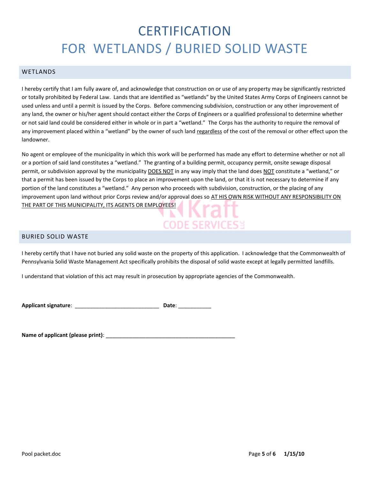# **CERTIFICATION** FOR WETLANDS / BURIED SOLID WASTE

### WETLANDS

I hereby certify that I am fully aware of, and acknowledge that construction on or use of any property may be significantly restricted or totally prohibited by Federal Law. Lands that are identified as "wetlands" by the United States Army Corps of Engineers cannot be used unless and until a permit is issued by the Corps. Before commencing subdivision, construction or any other improvement of any land, the owner or his/her agent should contact either the Corps of Engineers or a qualified professional to determine whether or not said land could be considered either in whole or in part a "wetland." The Corps has the authority to require the removal of any improvement placed within a "wetland" by the owner of such land regardless of the cost of the removal or other effect upon the landowner.

No agent or employee of the municipality in which this work will be performed has made any effort to determine whether or not all or a portion of said land constitutes a "wetland." The granting of a building permit, occupancy permit, onsite sewage disposal permit, or subdivision approval by the municipality DOES NOT in any way imply that the land does NOT constitute a "wetland," or that a permit has been issued by the Corps to place an improvement upon the land, or that it is not necessary to determine if any portion of the land constitutes a "wetland." Any person who proceeds with subdivision, construction, or the placing of any improvement upon land without prior Corps review and/or approval does so AT HIS OWN RISK WITHOUT ANY RESPONSIBILITY ON THE PART OF THIS MUNICIPALITY, ITS AGENTS OR EMPLOYEES!

# **CODE SERVICES:**

### BURIED SOLID WASTE

I hereby certify that I have not buried any solid waste on the property of this application. I acknowledge that the Commonwealth of Pennsylvania Solid Waste Management Act specifically prohibits the disposal of solid waste except at legally permitted landfills.

I understand that violation of this act may result in prosecution by appropriate agencies of the Commonwealth.

**Applicant signature**: \_\_\_\_\_\_\_\_\_\_\_\_\_\_\_\_\_\_\_\_\_\_\_\_\_\_\_\_ **Date**: \_\_\_\_\_\_\_\_\_\_\_

**Name of applicant (please print)**: \_\_\_\_\_\_\_\_\_\_\_\_\_\_\_\_\_\_\_\_\_\_\_\_\_\_\_\_\_\_\_\_\_\_\_\_\_\_\_